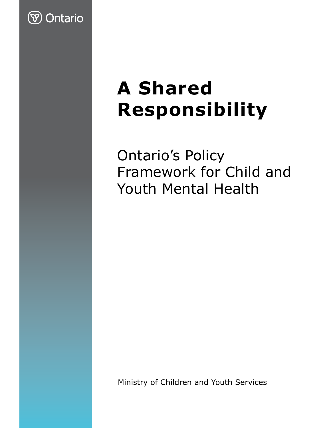

# **A Shared Responsibility**

Ontario's Policy Framework for Child and Youth Mental Health

Ministry of Children and Youth Services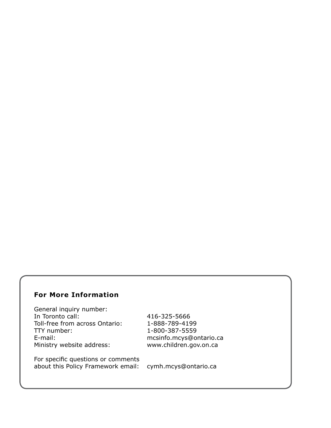#### **For More Information**

General inquiry number:<br>In Toronto call: Toll-free from across Ontario: 1-888-789-4199 TTY number: 1-800-387-5559 E-mail: mcsinfo.mcys@ontario.ca Ministry website address: www.children.gov.on.ca

In Toronto call: 416-325-5666

For specific questions or comments about this Policy Framework email: cymh.mcys@ontario.ca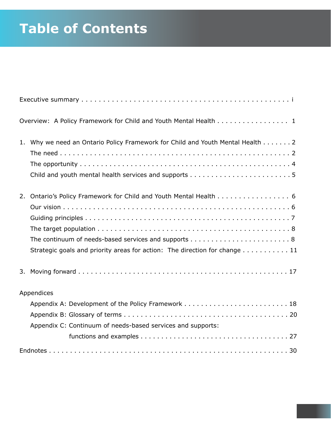# **Table of Contents**

|    | Overview: A Policy Framework for Child and Youth Mental Health 1               |  |  |  |  |
|----|--------------------------------------------------------------------------------|--|--|--|--|
|    | 1. Why we need an Ontario Policy Framework for Child and Youth Mental Health 2 |  |  |  |  |
|    |                                                                                |  |  |  |  |
|    | 2. Ontario's Policy Framework for Child and Youth Mental Health 6              |  |  |  |  |
|    |                                                                                |  |  |  |  |
|    |                                                                                |  |  |  |  |
|    |                                                                                |  |  |  |  |
|    |                                                                                |  |  |  |  |
|    | Strategic goals and priority areas for action: The direction for change 11     |  |  |  |  |
| 3. |                                                                                |  |  |  |  |
|    | Appendices                                                                     |  |  |  |  |
|    |                                                                                |  |  |  |  |
|    |                                                                                |  |  |  |  |
|    | Appendix C: Continuum of needs-based services and supports:                    |  |  |  |  |
|    |                                                                                |  |  |  |  |
|    |                                                                                |  |  |  |  |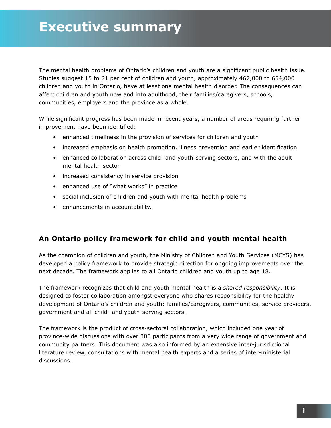The mental health problems of Ontario's children and youth are a significant public health issue. Studies suggest 15 to 21 per cent of children and youth, approximately 467,000 to 654,000 children and youth in Ontario, have at least one mental health disorder. The consequences can affect children and youth now and into adulthood, their families/caregivers, schools, communities, employers and the province as a whole.

While significant progress has been made in recent years, a number of areas requiring further improvement have been identified:

- enhanced timeliness in the provision of services for children and youth
- increased emphasis on health promotion, illness prevention and earlier identification
- enhanced collaboration across child- and youth-serving sectors, and with the adult mental health sector
- increased consistency in service provision
- enhanced use of "what works" in practice
- social inclusion of children and youth with mental health problems
- enhancements in accountability.

#### **An Ontario policy framework for child and youth mental health**

As the champion of children and youth, the Ministry of Children and Youth Services (MCYS) has developed a policy framework to provide strategic direction for ongoing improvements over the next decade. The framework applies to all Ontario children and youth up to age 18.

The framework recognizes that child and youth mental health is a *shared responsibility*. It is designed to foster collaboration amongst everyone who shares responsibility for the healthy development of Ontario's children and youth: families/caregivers, communities, service providers, government and all child- and youth-serving sectors.

The framework is the product of cross-sectoral collaboration, which included one year of province-wide discussions with over 300 participants from a very wide range of government and community partners. This document was also informed by an extensive inter-jurisdictional literature review, consultations with mental health experts and a series of inter-ministerial discussions.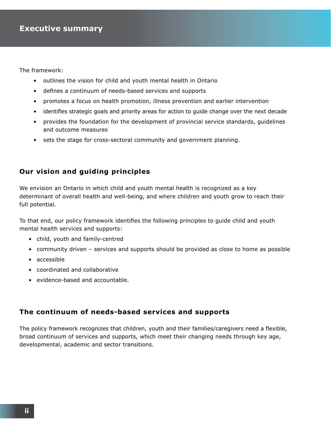The framework:

- outlines the vision for child and youth mental health in Ontario
- defines a continuum of needs-based services and supports
- promotes a focus on health promotion, illness prevention and earlier intervention
- identifies strategic goals and priority areas for action to guide change over the next decade
- provides the foundation for the development of provincial service standards, guidelines and outcome measures
- sets the stage for cross-sectoral community and government planning.

#### **Our vision and guiding principles**

We envision an Ontario in which child and youth mental health is recognized as a key determinant of overall health and well-being, and where children and youth grow to reach their full potential.

To that end, our policy framework identifies the following principles to guide child and youth mental health services and supports:

- child, youth and family-centred
- community driven services and supports should be provided as close to home as possible
- accessible
- coordinated and collaborative
- evidence-based and accountable.

#### **The continuum of needs-based services and supports**

The policy framework recognizes that children, youth and their families/caregivers need a flexible, broad continuum of services and supports, which meet their changing needs through key age, developmental, academic and sector transitions.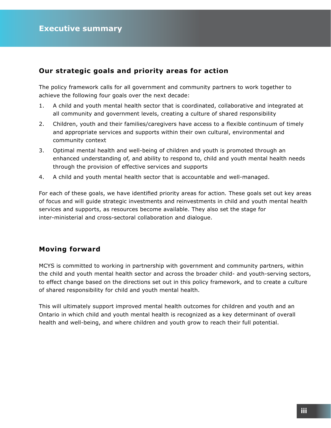#### **Our strategic goals and priority areas for action**

The policy framework calls for all government and community partners to work together to achieve the following four goals over the next decade:

- 1. A child and youth mental health sector that is coordinated, collaborative and integrated at all community and government levels, creating a culture of shared responsibility
- 2. Children, youth and their families/caregivers have access to a flexible continuum of timely and appropriate services and supports within their own cultural, environmental and community context
- 3. Optimal mental health and well-being of children and youth is promoted through an enhanced understanding of, and ability to respond to, child and youth mental health needs through the provision of effective services and supports
- 4. A child and youth mental health sector that is accountable and well-managed.

For each of these goals, we have identified priority areas for action*.* These goals set out key areas of focus and will guide strategic investments and reinvestments in child and youth mental health services and supports, as resources become available. They also set the stage for inter-ministerial and cross-sectoral collaboration and dialogue.

#### **Moving forward**

MCYS is committed to working in partnership with government and community partners, within the child and youth mental health sector and across the broader child- and youth-serving sectors, to effect change based on the directions set out in this policy framework, and to create a culture of shared responsibility for child and youth mental health.

This will ultimately support improved mental health outcomes for children and youth and an Ontario in which child and youth mental health is recognized as a key determinant of overall health and well-being, and where children and youth grow to reach their full potential.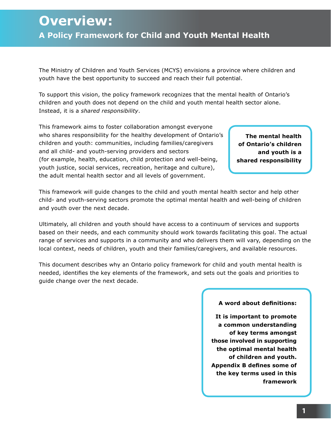# **Overview: A Policy Framework for Child and Youth Mental Health**

The Ministry of Children and Youth Services (MCYS) envisions a province where children and youth have the best opportunity to succeed and reach their full potential.

To support this vision, the policy framework recognizes that the mental health of Ontario's children and youth does not depend on the child and youth mental health sector alone. Instead, it is a *shared responsibility*.

This framework aims to foster collaboration amongst everyone who shares responsibility for the healthy development of Ontario's children and youth: communities, including families/caregivers and all child- and youth-serving providers and sectors (for example, health, education, child protection and well-being, youth justice, social services, recreation, heritage and culture), the adult mental health sector and all levels of government.

**The mental health of Ontario's children and youth is a shared responsibility**

This framework will guide changes to the child and youth mental health sector and help other child- and youth-serving sectors promote the optimal mental health and well-being of children and youth over the next decade.

Ultimately, all children and youth should have access to a continuum of services and supports based on their needs, and each community should work towards facilitating this goal. The actual range of services and supports in a community and who delivers them will vary, depending on the local context, needs of children, youth and their families/caregivers, and available resources.

This document describes why an Ontario policy framework for child and youth mental health is needed, identifies the key elements of the framework, and sets out the goals and priorities to guide change over the next decade.

#### **A word about definitions:**

**It is important to promote a common understanding of key terms amongst those involved in supporting the optimal mental health of children and youth. Appendix B defines some of the key terms used in this framework**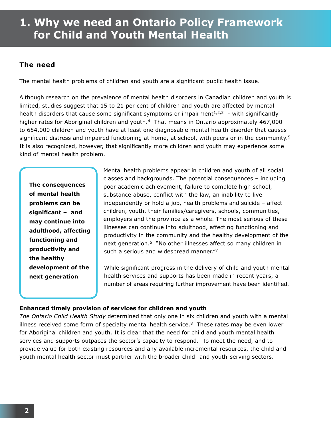# **1. Why we need an Ontario Policy Framework for Child and Youth Mental Health**

#### **The need**

The mental health problems of children and youth are a significant public health issue.

Although research on the prevalence of mental health disorders in Canadian children and youth is limited, studies suggest that 15 to 21 per cent of children and youth are affected by mental health disorders that cause some significant symptoms or impairment<sup>1,2,3</sup> - with significantly higher rates for Aboriginal children and youth.<sup>4</sup> That means in Ontario approximately 467,000 to 654,000 children and youth have at least one diagnosable mental health disorder that causes significant distress and impaired functioning at home, at school, with peers or in the community.<sup>5</sup> It is also recognized, however, that significantly more children and youth may experience some kind of mental health problem.

**The consequences of mental health problems can be significant – and may continue into adulthood, affecting functioning and productivity and the healthy development of the next generation**

Mental health problems appear in children and youth of all social classes and backgrounds. The potential consequences – including poor academic achievement, failure to complete high school, substance abuse, conflict with the law, an inability to live independently or hold a job, health problems and suicide – affect children, youth, their families/caregivers, schools, communities, employers and the province as a whole. The most serious of these illnesses can continue into adulthood, affecting functioning and productivity in the community and the healthy development of the next generation.<sup>6</sup> "No other illnesses affect so many children in such a serious and widespread manner."7

While significant progress in the delivery of child and youth mental health services and supports has been made in recent years, a number of areas requiring further improvement have been identified.

#### **Enhanced timely provision of services for children and youth**

*The Ontario Child Health Study* determined that only one in six children and youth with a mental illness received some form of specialty mental health service. $8$  These rates may be even lower for Aboriginal children and youth. It is clear that the need for child and youth mental health services and supports outpaces the sector's capacity to respond. To meet the need, and to provide value for both existing resources and any available incremental resources, the child and youth mental health sector must partner with the broader child- and youth-serving sectors.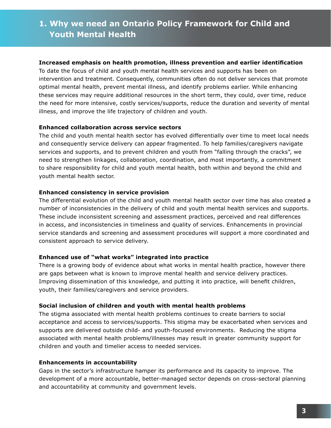#### **Increased emphasis on health promotion, illness prevention and earlier identification**

To date the focus of child and youth mental health services and supports has been on intervention and treatment. Consequently, communities often do not deliver services that promote optimal mental health, prevent mental illness, and identify problems earlier. While enhancing these services may require additional resources in the short term, they could, over time, reduce the need for more intensive, costly services/supports, reduce the duration and severity of mental illness, and improve the life trajectory of children and youth.

#### **Enhanced collaboration across service sectors**

The child and youth mental health sector has evolved differentially over time to meet local needs and consequently service delivery can appear fragmented. To help families/caregivers navigate services and supports, and to prevent children and youth from "falling through the cracks", we need to strengthen linkages, collaboration, coordination, and most importantly, a commitment to share responsibility for child and youth mental health, both within and beyond the child and youth mental health sector.

#### **Enhanced consistency in service provision**

The differential evolution of the child and youth mental health sector over time has also created a number of inconsistencies in the delivery of child and youth mental health services and supports. These include inconsistent screening and assessment practices, perceived and real differences in access, and inconsistencies in timeliness and quality of services. Enhancements in provincial service standards and screening and assessment procedures will support a more coordinated and consistent approach to service delivery.

#### **Enhanced use of "what works" integrated into practice**

There is a growing body of evidence about what works in mental health practice, however there are gaps between what is known to improve mental health and service delivery practices. Improving dissemination of this knowledge, and putting it into practice, will benefit children, youth, their families/caregivers and service providers.

#### **Social inclusion of children and youth with mental health problems**

The stigma associated with mental health problems continues to create barriers to social acceptance and access to services/supports. This stigma may be exacerbated when services and supports are delivered outside child- and youth-focused environments. Reducing the stigma associated with mental health problems/illnesses may result in greater community support for children and youth and timelier access to needed services.

#### **Enhancements in accountability**

Gaps in the sector's infrastructure hamper its performance and its capacity to improve. The development of a more accountable, better-managed sector depends on cross-sectoral planning and accountability at community and government levels.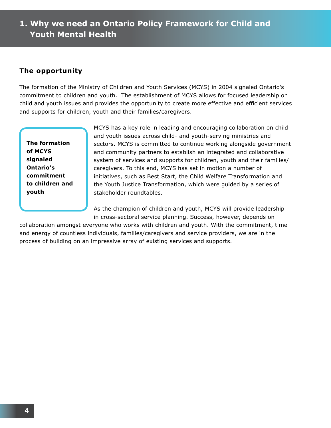#### **The opportunity**

The formation of the Ministry of Children and Youth Services (MCYS) in 2004 signaled Ontario's commitment to children and youth. The establishment of MCYS allows for focused leadership on child and youth issues and provides the opportunity to create more effective and efficient services and supports for children, youth and their families/caregivers.

**The formation of MCYS signaled Ontario's commitment to children and youth**

MCYS has a key role in leading and encouraging collaboration on child and youth issues across child- and youth-serving ministries and sectors. MCYS is committed to continue working alongside government and community partners to establish an integrated and collaborative system of services and supports for children, youth and their families/ caregivers. To this end, MCYS has set in motion a number of initiatives, such as Best Start, the Child Welfare Transformation and the Youth Justice Transformation, which were guided by a series of stakeholder roundtables.

As the champion of children and youth, MCYS will provide leadership in cross-sectoral service planning. Success, however, depends on

collaboration amongst everyone who works with children and youth. With the commitment, time and energy of countless individuals, families/caregivers and service providers, we are in the process of building on an impressive array of existing services and supports.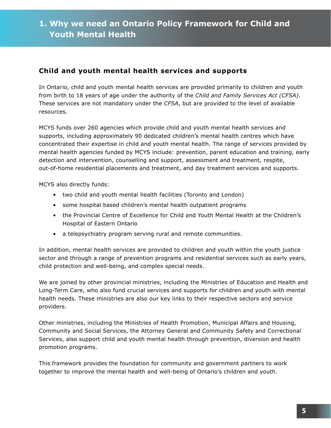#### **Child and youth mental health services and supports**

In Ontario, child and youth mental health services are provided primarily to children and youth from birth to 18 years of age under the authority of the *Child and Family Services Act (CFSA)*. These services are not mandatory under the *CFSA*, but are provided to the level of available resources.

MCYS funds over 260 agencies which provide child and youth mental health services and supports, including approximately 90 dedicated children's mental health centres which have concentrated their expertise in child and youth mental health. The range of services provided by mental health agencies funded by MCYS include: prevention, parent education and training, early detection and intervention, counselling and support, assessment and treatment, respite, out-of-home residential placements and treatment, and day treatment services and supports.

MCYS also directly funds:

- two child and youth mental health facilities (Toronto and London)
- some hospital based children's mental health outpatient programs
- the Provincial Centre of Excellence for Child and Youth Mental Health at the Children's Hospital of Eastern Ontario
- a telepsychiatry program serving rural and remote communities.

In addition, mental health services are provided to children and youth within the youth justice sector and through a range of prevention programs and residential services such as early years, child protection and well-being, and complex special needs.

We are joined by other provincial ministries, including the Ministries of Education and Health and Long-Term Care, who also fund crucial services and supports for children and youth with mental health needs. These ministries are also our key links to their respective sectors and service providers.

Other ministries, including the Ministries of Health Promotion, Municipal Affairs and Housing, Community and Social Services, the Attorney General and Community Safety and Correctional Services, also support child and youth mental health through prevention, diversion and health promotion programs.

This framework provides the foundation for community and government partners to work together to improve the mental health and well-being of Ontario's children and youth.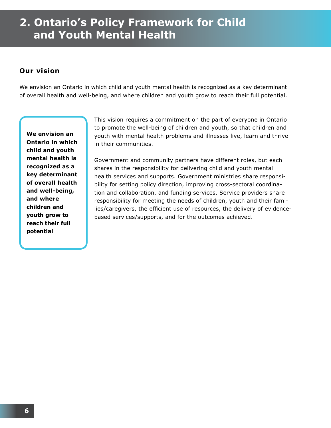#### **Our vision**

We envision an Ontario in which child and youth mental health is recognized as a key determinant of overall health and well-being, and where children and youth grow to reach their full potential.

**We envision an Ontario in which child and youth mental health is recognized as a key determinant of overall health and well-being, and where children and youth grow to reach their full potential**

This vision requires a commitment on the part of everyone in Ontario to promote the well-being of children and youth, so that children and youth with mental health problems and illnesses live, learn and thrive in their communities.

Government and community partners have different roles, but each shares in the responsibility for delivering child and youth mental health services and supports. Government ministries share responsibility for setting policy direction, improving cross-sectoral coordination and collaboration, and funding services. Service providers share responsibility for meeting the needs of children, youth and their families/caregivers, the efficient use of resources, the delivery of evidencebased services/supports, and for the outcomes achieved.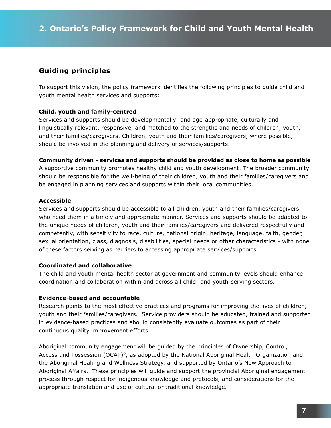#### **Guiding principles**

To support this vision, the policy framework identifies the following principles to guide child and youth mental health services and supports:

#### **Child, youth and family-centred**

Services and supports should be developmentally- and age-appropriate, culturally and linguistically relevant, responsive, and matched to the strengths and needs of children, youth, and their families/caregivers. Children, youth and their families/caregivers, where possible, should be involved in the planning and delivery of services/supports.

**Community driven - services and supports should be provided as close to home as possible** A supportive community promotes healthy child and youth development. The broader community should be responsible for the well-being of their children, youth and their families/caregivers and be engaged in planning services and supports within their local communities.

#### **Accessible**

Services and supports should be accessible to all children, youth and their families/caregivers who need them in a timely and appropriate manner. Services and supports should be adapted to the unique needs of children, youth and their families/caregivers and delivered respectfully and competently, with sensitivity to race, culture, national origin, heritage, language, faith, gender, sexual orientation, class, diagnosis, disabilities, special needs or other characteristics - with none of these factors serving as barriers to accessing appropriate services/supports.

#### **Coordinated and collaborative**

The child and youth mental health sector at government and community levels should enhance coordination and collaboration within and across all child- and youth-serving sectors.

#### **Evidence-based and accountable**

Research points to the most effective practices and programs for improving the lives of children, youth and their families/caregivers. Service providers should be educated, trained and supported in evidence-based practices and should consistently evaluate outcomes as part of their continuous quality improvement efforts.

Aboriginal community engagement will be guided by the principles of Ownership, Control, Access and Possession (OCAP)<sup>9</sup>, as adopted by the National Aboriginal Health Organization and the Aboriginal Healing and Wellness Strategy, and supported by Ontario's New Approach to Aboriginal Affairs. These principles will guide and support the provincial Aboriginal engagement process through respect for indigenous knowledge and protocols, and considerations for the appropriate translation and use of cultural or traditional knowledge.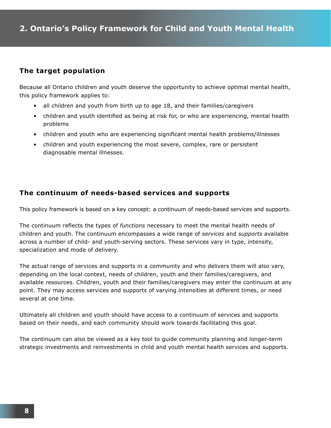#### **The target population**

Because all Ontario children and youth deserve the opportunity to achieve optimal mental health, this policy framework applies to:

- all children and youth from birth up to age 18, and their families/caregivers
- children and youth identified as being at risk for, or who are experiencing, mental health problems
- children and youth who are experiencing significant mental health problems/illnesses
- children and youth experiencing the most severe, complex, rare or persistent diagnosable mental illnesses.

#### **The continuum of needs-based services and supports**

This policy framework is based on a key concept: a continuum of needs-based services and supports.

The continuum reflects the types of *functions* necessary to meet the mental health needs of children and youth. The continuum encompasses a wide range of *services* and *supports* available across a number of child- and youth-serving sectors. These services vary in type, intensity, specialization and mode of delivery.

The actual range of services and supports in a community and who delivers them will also vary, depending on the local context, needs of children, youth and their families/caregivers, and available resources. Children, youth and their families/caregivers may enter the continuum at any point. They may access services and supports of varying intensities at different times, or need several at one time.

Ultimately all children and youth should have access to a continuum of services and supports based on their needs, and each community should work towards facilitating this goal.

The continuum can also be viewed as a key tool to guide community planning and longer-term strategic investments and reinvestments in child and youth mental health services and supports.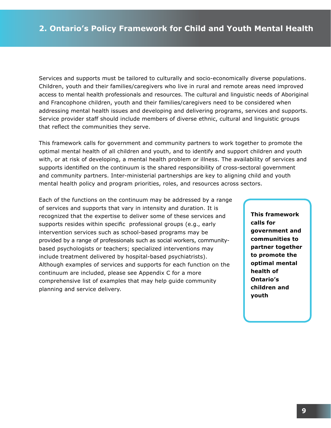Services and supports must be tailored to culturally and socio-economically diverse populations. Children, youth and their families/caregivers who live in rural and remote areas need improved access to mental health professionals and resources. The cultural and linguistic needs of Aboriginal and Francophone children, youth and their families/caregivers need to be considered when addressing mental health issues and developing and delivering programs, services and supports. Service provider staff should include members of diverse ethnic, cultural and linguistic groups that reflect the communities they serve.

This framework calls for government and community partners to work together to promote the optimal mental health of all children and youth, and to identify and support children and youth with, or at risk of developing, a mental health problem or illness. The availability of services and supports identified on the continuum is the shared responsibility of cross-sectoral government and community partners. Inter-ministerial partnerships are key to aligning child and youth mental health policy and program priorities, roles, and resources across sectors.

Each of the functions on the continuum may be addressed by a range of services and supports that vary in intensity and duration. It is recognized that the expertise to deliver some of these services and supports resides within specific professional groups (e.g., early intervention services such as school-based programs may be provided by a range of professionals such as social workers, communitybased psychologists or teachers; specialized interventions may include treatment delivered by hospital-based psychiatrists). Although examples of services and supports for each function on the continuum are included, please see Appendix C for a more comprehensive list of examples that may help guide community planning and service delivery.

**This framework calls for government and communities to partner together to promote the optimal mental health of Ontario's children and youth**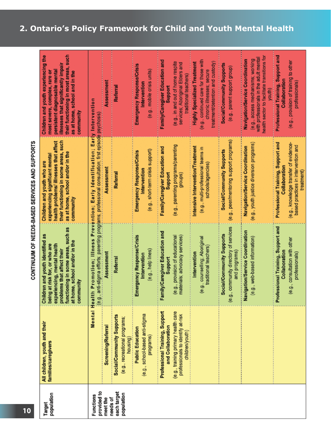| ביו יוסט מונק מענות לא ה<br><b>Demanded the Second Proper</b> | their functioning in most areas, such<br>Children and youth experiencing the<br>illnesses that significantly impair<br>persistent diagnosable mental<br>most severe, complex, rare or<br>as at home, school and in the<br>community<br>their functioning in some areas, such<br>health problems/illnesses that affect<br>as at home, school and/or in the<br>experiencing significant mental |                                                                                                                                                                                | Assessment<br>Assessment  | Referral<br>Referral                                                   | Emergency Response/Crisis<br>(e.g., mobile crisis units)<br>Intervention<br>(e.g., short-term crisis support)<br>Emergency Response/Crisis<br>Intervention | Family/Caregiver Education and<br>(e.g., in and out of home respite<br>services; Aboriginal Elders and<br>traditional teachers)<br>Support<br>(e.g., parenting programs/parenting<br>Family/Caregiver Education and<br>Support<br>groups) | (e.g., continued care for those with<br>treatment/detention and custody)<br><b>Highly Specialized Treatment</b><br>chronic illnesses; secure<br>Intensive Intervention/Treatment<br>(e.g., multi-professional teams in<br>schools/agencies) | Social/Community Supports<br>(e.g., parent support group)<br>(e.g., peer/mentoring support programs)<br>Social/Community Supports | health sector to facilitate transitions for<br>with professionals in the adult mental<br>(e.g., access mechanisms; working<br>Mavigation/Service Coordination<br>youth)<br>(e.g., youth justice diversion programs)<br>Navigation/Service Coordination | Professional Training, Support and<br>(e.g., provision of training to other<br>Collaboration<br>professionals)<br>Professional Training, Support and<br>(e.g., knowledge transfer of evidence-<br>based practices in intervention and<br>Collaboration<br>treatment) |
|---------------------------------------------------------------|----------------------------------------------------------------------------------------------------------------------------------------------------------------------------------------------------------------------------------------------------------------------------------------------------------------------------------------------------------------------------------------------|--------------------------------------------------------------------------------------------------------------------------------------------------------------------------------|---------------------------|------------------------------------------------------------------------|------------------------------------------------------------------------------------------------------------------------------------------------------------|-------------------------------------------------------------------------------------------------------------------------------------------------------------------------------------------------------------------------------------------|---------------------------------------------------------------------------------------------------------------------------------------------------------------------------------------------------------------------------------------------|-----------------------------------------------------------------------------------------------------------------------------------|--------------------------------------------------------------------------------------------------------------------------------------------------------------------------------------------------------------------------------------------------------|----------------------------------------------------------------------------------------------------------------------------------------------------------------------------------------------------------------------------------------------------------------------|
|                                                               | Children and youth who are<br>community<br>such as<br>Children and youth identified as<br>at home, school and/or in the<br>at risk for, or who are<br>experiencing, mental health<br>functioning in some areas,<br>problems that affect their<br>community<br>being                                                                                                                          | Promotion; Illness Prevention; Early Identification; Early Intervention<br>(e.g., anti-stigma efforts; parenting programs; professional consultation; first episode psychosis) | Assessment                | Referral                                                               | Emergency Response/Crisis<br>(e.g., help lines)<br>Intervention                                                                                            | Family/Caregiver Education and<br>materials; advocacy services)<br>(e.g., provision of educational<br>Support                                                                                                                             | e.g., counselling; Aboriginal<br>traditional teachers<br>Intervention                                                                                                                                                                       | community directory of services<br>Social/Community Supports<br>and programs)<br>(e.g.,                                           | Navigation/Service Coordination<br>(e.g., web-based information)                                                                                                                                                                                       | Professional Training, Support and<br>consultation with other<br>Collaboration<br>professionals)<br>(e.g.,                                                                                                                                                           |
|                                                               | All children, youth and their<br>families/caregivers                                                                                                                                                                                                                                                                                                                                         | Mental Health                                                                                                                                                                  | <b>Screening/Referral</b> | Social/Community Supports<br>(e.g., recreational programs;<br>housing) | (e.g., school-based anti-stigma<br><b>Public Education</b><br>programs)                                                                                    | Professional Training, Support<br>(e.g., training primary health care<br>professionals to identify at-risk<br>and Collaboration<br>children/youth)                                                                                        |                                                                                                                                                                                                                                             |                                                                                                                                   |                                                                                                                                                                                                                                                        |                                                                                                                                                                                                                                                                      |
|                                                               | population<br>Target                                                                                                                                                                                                                                                                                                                                                                         | provided to<br>each target<br>population<br>Functions<br>needs of<br>meet the                                                                                                  |                           |                                                                        |                                                                                                                                                            |                                                                                                                                                                                                                                           |                                                                                                                                                                                                                                             |                                                                                                                                   |                                                                                                                                                                                                                                                        |                                                                                                                                                                                                                                                                      |

# CONTINUUM OF NEEDS-BASED SERVICES AND SUPPORTS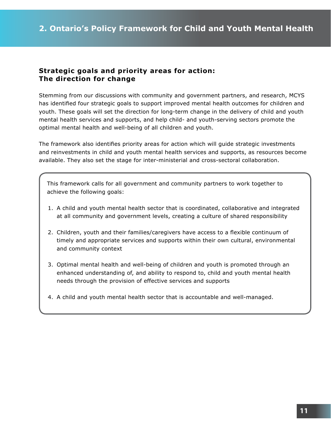#### **Strategic goals and priority areas for action: The direction for change**

Stemming from our discussions with community and government partners, and research, MCYS has identified four strategic goals to support improved mental health outcomes for children and youth. These goals will set the direction for long-term change in the delivery of child and youth mental health services and supports, and help child- and youth-serving sectors promote the optimal mental health and well-being of all children and youth.

The framework also identifies priority areas for action which will guide strategic investments and reinvestments in child and youth mental health services and supports, as resources become available. They also set the stage for inter-ministerial and cross-sectoral collaboration.

This framework calls for all government and community partners to work together to achieve the following goals:

- 1. A child and youth mental health sector that is coordinated, collaborative and integrated at all community and government levels, creating a culture of shared responsibility
- 2. Children, youth and their families/caregivers have access to a flexible continuum of timely and appropriate services and supports within their own cultural, environmental and community context
- 3. Optimal mental health and well-being of children and youth is promoted through an enhanced understanding of, and ability to respond to, child and youth mental health needs through the provision of effective services and supports
- 4. A child and youth mental health sector that is accountable and well-managed.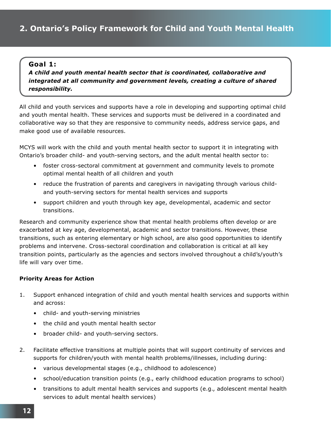#### **Goal 1:**

 *A child and youth mental health sector that is coordinated, collaborative and integrated at all community and government levels, creating a culture of shared responsibility.*

All child and youth services and supports have a role in developing and supporting optimal child and youth mental health. These services and supports must be delivered in a coordinated and collaborative way so that they are responsive to community needs, address service gaps, and make good use of available resources.

MCYS will work with the child and youth mental health sector to support it in integrating with Ontario's broader child- and youth-serving sectors, and the adult mental health sector to:

- foster cross-sectoral commitment at government and community levels to promote optimal mental health of all children and youth
- reduce the frustration of parents and caregivers in navigating through various child and youth-serving sectors for mental health services and supports
- support children and youth through key age, developmental, academic and sector transitions.

Research and community experience show that mental health problems often develop or are exacerbated at key age, developmental, academic and sector transitions. However, these transitions, such as entering elementary or high school, are also good opportunities to identify problems and intervene. Cross-sectoral coordination and collaboration is critical at all key transition points, particularly as the agencies and sectors involved throughout a child's/youth's life will vary over time.

#### **Priority Areas for Action**

- 1. Support enhanced integration of child and youth mental health services and supports within and across:
	- child- and youth-serving ministries
	- the child and youth mental health sector
	- broader child- and youth-serving sectors.
- 2. Facilitate effective transitions at multiple points that will support continuity of services and supports for children/youth with mental health problems/illnesses, including during:
	- various developmental stages (e.g., childhood to adolescence)
	- school/education transition points (e.g., early childhood education programs to school)
	- transitions to adult mental health services and supports (e.g., adolescent mental health services to adult mental health services)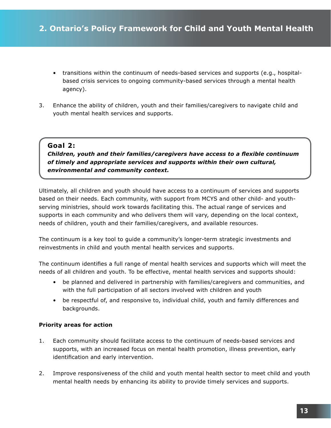- transitions within the continuum of needs-based services and supports (e.g., hospital based crisis services to ongoing community-based services through a mental health agency).
- 3. Enhance the ability of children, youth and their families/caregivers to navigate child and youth mental health services and supports.

#### **Goal 2:**

 *Children, youth and their families/caregivers have access to a flexible continuum of timely and appropriate services and supports within their own cultural, environmental and community context.*

Ultimately, all children and youth should have access to a continuum of services and supports based on their needs. Each community, with support from MCYS and other child- and youthserving ministries, should work towards facilitating this. The actual range of services and supports in each community and who delivers them will vary, depending on the local context, needs of children, youth and their families/caregivers, and available resources.

The continuum is a key tool to guide a community's longer-term strategic investments and reinvestments in child and youth mental health services and supports.

The continuum identifies a full range of mental health services and supports which will meet the needs of all children and youth. To be effective, mental health services and supports should:

- be planned and delivered in partnership with families/caregivers and communities, and with the full participation of all sectors involved with children and youth
- be respectful of, and responsive to, individual child, youth and family differences and backgrounds.

#### **Priority areas for action**

- 1. Each community should facilitate access to the continuum of needs-based services and supports, with an increased focus on mental health promotion, illness prevention, early identification and early intervention.
- 2. Improve responsiveness of the child and youth mental health sector to meet child and youth mental health needs by enhancing its ability to provide timely services and supports.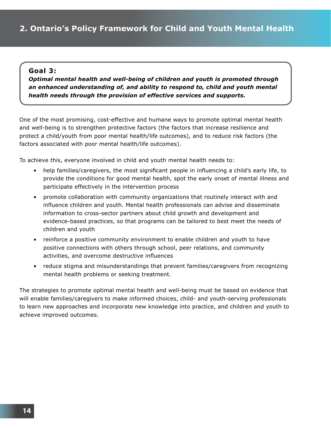#### **Goal 3:**

 *Optimal mental health and well-being of children and youth is promoted through an enhanced understanding of, and ability to respond to, child and youth mental health needs through the provision of effective services and supports.*

One of the most promising, cost-effective and humane ways to promote optimal mental health and well-being is to strengthen protective factors (the factors that increase resilience and protect a child/youth from poor mental health/life outcomes), and to reduce risk factors (the factors associated with poor mental health/life outcomes).

To achieve this, everyone involved in child and youth mental health needs to:

- help families/caregivers, the most significant people in influencing a child's early life, to provide the conditions for good mental health, spot the early onset of mental illness and participate effectively in the intervention process
- promote collaboration with community organizations that routinely interact with and influence children and youth. Mental health professionals can advise and disseminate information to cross-sector partners about child growth and development and evidence-based practices, so that programs can be tailored to best meet the needs of children and youth
- reinforce a positive community environment to enable children and youth to have positive connections with others through school, peer relations, and community activities, and overcome destructive influences
- reduce stigma and misunderstandings that prevent families/caregivers from recognizing mental health problems or seeking treatment.

The strategies to promote optimal mental health and well-being must be based on evidence that will enable families/caregivers to make informed choices, child- and youth-serving professionals to learn new approaches and incorporate new knowledge into practice, and children and youth to achieve improved outcomes.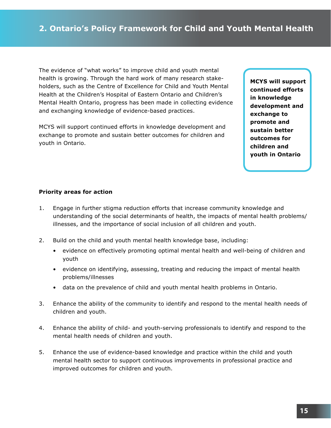The evidence of "what works" to improve child and youth mental health is growing. Through the hard work of many research stakeholders, such as the Centre of Excellence for Child and Youth Mental Health at the Children's Hospital of Eastern Ontario and Children's Mental Health Ontario, progress has been made in collecting evidence and exchanging knowledge of evidence-based practices.

MCYS will support continued efforts in knowledge development and exchange to promote and sustain better outcomes for children and youth in Ontario.

**MCYS will support continued efforts in knowledge development and exchange to promote and sustain better outcomes for children and youth in Ontario**

#### **Priority areas for action**

- 1. Engage in further stigma reduction efforts that increase community knowledge and understanding of the social determinants of health, the impacts of mental health problems/ illnesses, and the importance of social inclusion of all children and youth.
- 2. Build on the child and youth mental health knowledge base, including:
	- evidence on effectively promoting optimal mental health and well-being of children and youth
	- evidence on identifying, assessing, treating and reducing the impact of mental health problems/illnesses
	- data on the prevalence of child and youth mental health problems in Ontario.
- 3. Enhance the ability of the community to identify and respond to the mental health needs of children and youth.
- 4. Enhance the ability of child- and youth-serving professionals to identify and respond to the mental health needs of children and youth.
- 5. Enhance the use of evidence-based knowledge and practice within the child and youth mental health sector to support continuous improvements in professional practice and improved outcomes for children and youth.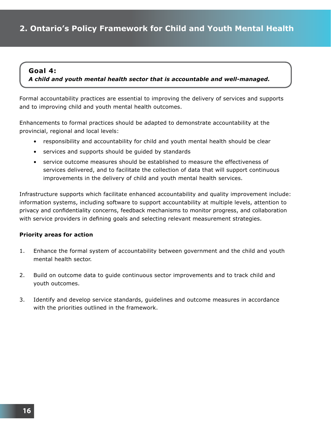#### **Goal 4:**

 *A child and youth mental health sector that is accountable and well-managed.*

Formal accountability practices are essential to improving the delivery of services and supports and to improving child and youth mental health outcomes.

Enhancements to formal practices should be adapted to demonstrate accountability at the provincial, regional and local levels:

- responsibility and accountability for child and youth mental health should be clear
- services and supports should be guided by standards
- service outcome measures should be established to measure the effectiveness of services delivered, and to facilitate the collection of data that will support continuous improvements in the delivery of child and youth mental health services.

Infrastructure supports which facilitate enhanced accountability and quality improvement include: information systems, including software to support accountability at multiple levels, attention to privacy and confidentiality concerns, feedback mechanisms to monitor progress, and collaboration with service providers in defining goals and selecting relevant measurement strategies.

#### **Priority areas for action**

- 1. Enhance the formal system of accountability between government and the child and youth mental health sector.
- 2. Build on outcome data to guide continuous sector improvements and to track child and youth outcomes.
- 3. Identify and develop service standards, guidelines and outcome measures in accordance with the priorities outlined in the framework.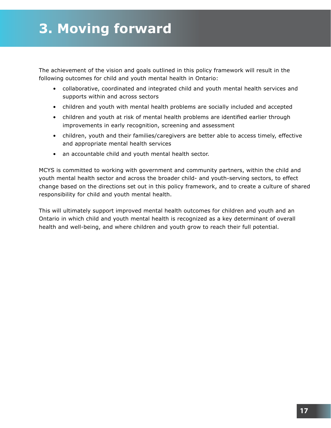The achievement of the vision and goals outlined in this policy framework will result in the following outcomes for child and youth mental health in Ontario:

- collaborative, coordinated and integrated child and youth mental health services and supports within and across sectors
- children and youth with mental health problems are socially included and accepted
- children and youth at risk of mental health problems are identified earlier through improvements in early recognition, screening and assessment
- children, youth and their families/caregivers are better able to access timely, effective and appropriate mental health services
- an accountable child and youth mental health sector.

MCYS is committed to working with government and community partners, within the child and youth mental health sector and across the broader child- and youth-serving sectors, to effect change based on the directions set out in this policy framework, and to create a culture of shared responsibility for child and youth mental health.

This will ultimately support improved mental health outcomes for children and youth and an Ontario in which child and youth mental health is recognized as a key determinant of overall health and well-being, and where children and youth grow to reach their full potential.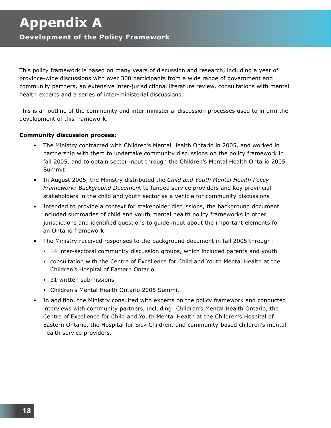This policy framework is based on many years of discussion and research, including a year of province-wide discussions with over 300 participants from a wide range of government and community partners, an extensive inter-jurisdictional literature review, consultations with mental health experts and a series of inter-ministerial discussions.

This is an outline of the community and inter-ministerial discussion processes used to inform the development of this framework.

#### **Community discussion process:**

- The Ministry contracted with Children's Mental Health Ontario in 2005, and worked in partnership with them to undertake community discussions on the policy framework in fall 2005, and to obtain sector input through the Children's Mental Health Ontario 2005 Summit
- In August 2005, the Ministry distributed the *Child and Youth Mental Health Policy Framework: Background Documen*t to funded service providers and key provincial stakeholders in the child and youth sector as a vehicle for community discussions
- Intended to provide a context for stakeholder discussions, the background document included summaries of child and youth mental health policy frameworks in other jurisdictions and identified questions to guide input about the important elements for an Ontario framework
- The Ministry received responses to the background document in fall 2005 through:
	- 14 inter-sectoral community discussion groups, which included parents and youth
	- consultation with the Centre of Excellence for Child and Youth Mental Health at the Children's Hospital of Eastern Ontario
	- 31 written submissions
	- Children's Mental Health Ontario 2005 Summit
- In addition, the Ministry consulted with experts on the policy framework and conducted interviews with community partners, including: Children's Mental Health Ontario, the Centre of Excellence for Child and Youth Mental Health at the Children's Hospital of Eastern Ontario, the Hospital for Sick Children, and community-based children's mental health service providers.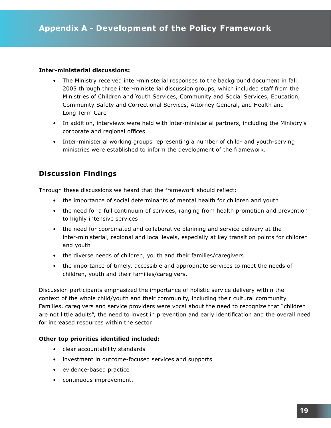#### **Inter-ministerial discussions:**

- The Ministry received inter-ministerial responses to the background document in fall 2005 through three inter-ministerial discussion groups, which included staff from the Ministries of Children and Youth Services, Community and Social Services, Education, Community Safety and Correctional Services, Attorney General, and Health and Long-Term Care
- In addition, interviews were held with inter-ministerial partners, including the Ministry's corporate and regional offices
- Inter-ministerial working groups representing a number of child- and youth-serving ministries were established to inform the development of the framework.

#### **Discussion Findings**

Through these discussions we heard that the framework should reflect:

- the importance of social determinants of mental health for children and youth
- the need for a full continuum of services, ranging from health promotion and prevention to highly intensive services
- the need for coordinated and collaborative planning and service delivery at the inter-ministerial, regional and local levels, especially at key transition points for children and youth
- the diverse needs of children, youth and their families/caregivers
- the importance of timely, accessible and appropriate services to meet the needs of children, youth and their families/caregivers.

Discussion participants emphasized the importance of holistic service delivery within the context of the whole child/youth and their community, including their cultural community. Families, caregivers and service providers were vocal about the need to recognize that "children are not little adults", the need to invest in prevention and early identification and the overall need for increased resources within the sector.

#### **Other top priorities identified included:**

- clear accountability standards
- investment in outcome-focused services and supports
- evidence-based practice
- continuous improvement.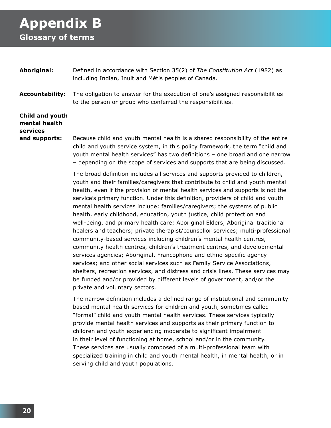# **Appendix B**

# **Glossary of terms**

- **Aboriginal:** Defined in accordance with Section 35(2) of *The Constitution Act* (1982) as including Indian, Inuit and Métis peoples of Canada.
- **Accountability:** The obligation to answer for the execution of one's assigned responsibilities to the person or group who conferred the responsibilities.

## **Child and youth mental health services**

**and supports:** Because child and youth mental health is a shared responsibility of the entire child and youth service system, in this policy framework, the term "child and youth mental health services" has two definitions – one broad and one narrow – depending on the scope of services and supports that are being discussed.

> The broad definition includes all services and supports provided to children, youth and their families/caregivers that contribute to child and youth mental health, even if the provision of mental health services and supports is not the service's primary function. Under this definition, providers of child and youth mental health services include: families/caregivers; the systems of public health, early childhood, education, youth justice, child protection and well-being, and primary health care; Aboriginal Elders, Aboriginal traditional healers and teachers; private therapist/counsellor services; multi-professional community-based services including children's mental health centres, community health centres, children's treatment centres, and developmental services agencies; Aboriginal, Francophone and ethno-specific agency services; and other social services such as Family Service Associations, shelters, recreation services, and distress and crisis lines. These services may be funded and/or provided by different levels of government, and/or the private and voluntary sectors.

> The narrow definition includes a defined range of institutional and community based mental health services for children and youth, sometimes called "formal" child and youth mental health services. These services typically provide mental health services and supports as their primary function to children and youth experiencing moderate to significant impairment in their level of functioning at home, school and/or in the community. These services are usually composed of a multi-professional team with specialized training in child and youth mental health, in mental health, or in serving child and youth populations.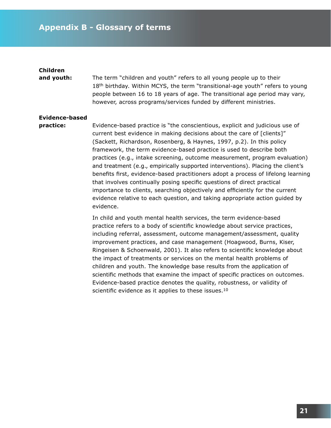#### **Children**

**and youth:** The term "children and youth" refers to all young people up to their 18<sup>th</sup> birthday. Within MCYS, the term "transitional-age youth" refers to young people between 16 to 18 years of age. The transitional age period may vary, however, across programs/services funded by different ministries.

#### **Evidence-based**

**practice:** Evidence-based practice is "the conscientious, explicit and judicious use of current best evidence in making decisions about the care of [clients]" (Sackett, Richardson, Rosenberg, & Haynes, 1997, p.2). In this policy framework, the term evidence-based practice is used to describe both practices (e.g., intake screening, outcome measurement, program evaluation) and treatment (e.g., empirically supported interventions). Placing the client's benefits first, evidence-based practitioners adopt a process of lifelong learning that involves continually posing specific questions of direct practical importance to clients, searching objectively and efficiently for the current evidence relative to each question, and taking appropriate action guided by evidence.

> In child and youth mental health services, the term evidence-based practice refers to a body of scientific knowledge about service practices, including referral, assessment, outcome management/assessment, quality improvement practices, and case management (Hoagwood, Burns, Kiser, Ringeisen & Schoenwald, 2001). It also refers to scientific knowledge about the impact of treatments or services on the mental health problems of children and youth. The knowledge base results from the application of scientific methods that examine the impact of specific practices on outcomes. Evidence-based practice denotes the quality, robustness, or validity of scientific evidence as it applies to these issues. $10$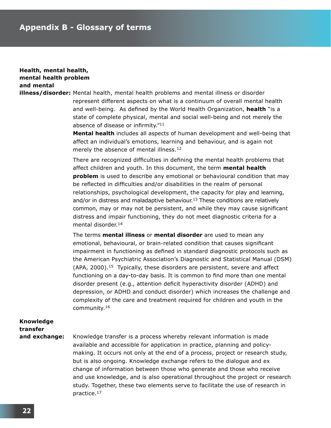#### **Health, mental health, mental health problem and mental**

**illness/disorder:** Mental health, mental health problems and mental illness or disorder represent different aspects on what is a continuum of overall mental health and well-being. As defined by the World Health Organization, **health** "is a state of complete physical, mental and social well-being and not merely the

> absence of disease or infirmity."<sup>11</sup>  **Mental health** includes all aspects of human development and well-being that affect an individual's emotions, learning and behaviour, and is again not merely the absence of mental illness.<sup>12</sup>

> There are recognized difficulties in defining the mental health problems that affect children and youth. In this document, the term **mental health problem** is used to describe any emotional or behavioural condition that may be reflected in difficulties and/or disabilities in the realm of personal relationships, psychological development, the capacity for play and learning, and/or in distress and maladaptive behaviour.<sup>13</sup> These conditions are relatively common, may or may not be persistent, and while they may cause significant distress and impair functioning, they do not meet diagnostic criteria for a mental disorder.14

> The terms **mental illness** or **mental disorder** are used to mean any emotional, behavioural, or brain-related condition that causes significant impairment in functioning as defined in standard diagnostic protocols such as the American Psychiatric Association's Diagnostic and Statistical Manual (DSM)  $(APA, 2000).<sup>15</sup>$  Typically, these disorders are persistent, severe and affect functioning on a day-to-day basis. It is common to find more than one mental disorder present (e.g., attention deficit hyperactivity disorder (ADHD) and depression, or ADHD and conduct disorder) which increases the challenge and complexity of the care and treatment required for children and youth in the community.16

# **Knowledge transfer**

and exchange: Knowledge transfer is a process whereby relevant information is made available and accessible for application in practice, planning and policy making. It occurs not only at the end of a process, project or research study, but is also ongoing. Knowledge exchange refers to the dialogue and ex change of information between those who generate and those who receive and use knowledge, and is also operational throughout the project or research study. Together, these two elements serve to facilitate the use of research in practice.17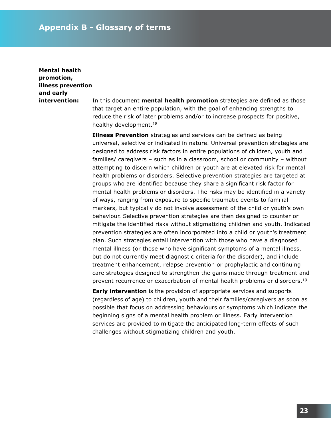### **Mental health promotion, illness prevention and early**

**intervention:** In this document **mental health promotion** strategies are defined as those that target an entire population, with the goal of enhancing strengths to reduce the risk of later problems and/or to increase prospects for positive, healthy development.18

> **Illness Prevention** strategies and services can be defined as being universal, selective or indicated in nature. Universal prevention strategies are designed to address risk factors in entire populations of children, youth and families/ caregivers – such as in a classroom, school or community – without attempting to discern which children or youth are at elevated risk for mental health problems or disorders. Selective prevention strategies are targeted at groups who are identified because they share a significant risk factor for mental health problems or disorders. The risks may be identified in a variety of ways, ranging from exposure to specific traumatic events to familial markers, but typically do not involve assessment of the child or youth's own behaviour. Selective prevention strategies are then designed to counter or mitigate the identified risks without stigmatizing children and youth. Indicated prevention strategies are often incorporated into a child or youth's treatment plan. Such strategies entail intervention with those who have a diagnosed mental illness (or those who have significant symptoms of a mental illness, but do not currently meet diagnostic criteria for the disorder), and include treatment enhancement, relapse prevention or prophylactic and continuing care strategies designed to strengthen the gains made through treatment and prevent recurrence or exacerbation of mental health problems or disorders.<sup>19</sup>

 **Early intervention** is the provision of appropriate services and supports (regardless of age) to children, youth and their families/caregivers as soon as possible that focus on addressing behaviours or symptoms which indicate the beginning signs of a mental health problem or illness. Early intervention services are provided to mitigate the anticipated long-term effects of such challenges without stigmatizing children and youth.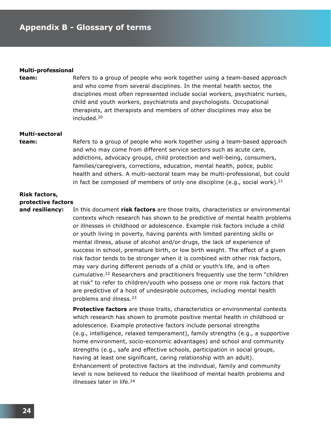#### **Multi-professional**

**team:** Refers to a group of people who work together using a team-based approach and who come from several disciplines. In the mental health sector, the disciplines most often represented include social workers, psychiatric nurses, child and youth workers, psychiatrists and psychologists. Occupational therapists, art therapists and members of other disciplines may also be included.20

#### **Multi-sectoral**

**team:** Refers to a group of people who work together using a team-based approach and who may come from different service sectors such as acute care, addictions, advocacy groups, child protection and well-being, consumers, families/caregivers, corrections, education, mental health, police, public health and others. A multi-sectoral team may be multi-professional, but could in fact be composed of members of only one discipline (e.g., social work).<sup>21</sup>

#### **Risk factors, protective factors**

**and resiliency:** In this document **risk factors** are those traits, characteristics or environmental contexts which research has shown to be predictive of mental health problems or illnesses in childhood or adolescence. Example risk factors include a child or youth living in poverty, having parents with limited parenting skills or mental illness, abuse of alcohol and/or drugs, the lack of experience of success in school, premature birth, or low birth weight. The effect of a given risk factor tends to be stronger when it is combined with other risk factors, may vary during different periods of a child or youth's life, and is often cumulative.22 Researchers and practitioners frequently use the term "children at risk" to refer to children/youth who possess one or more risk factors that are predictive of a host of undesirable outcomes, including mental health problems and illness.23

> **Protective factors** are those traits, characteristics or environmental contexts which research has shown to promote positive mental health in childhood or adolescence. Example protective factors include personal strengths (e.g., intelligence, relaxed temperament), family strengths (e.g., a supportive home environment, socio-economic advantages) and school and community strengths (e.g., safe and effective schools, participation in social groups, having at least one significant, caring relationship with an adult). Enhancement of protective factors at the individual, family and community level is now believed to reduce the likelihood of mental health problems and illnesses later in life.24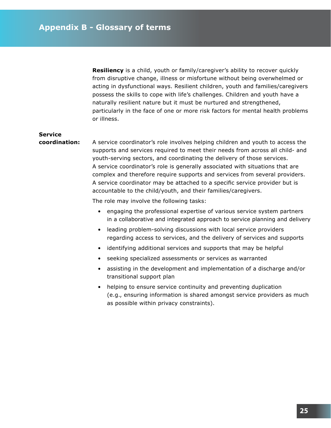**Resiliency** is a child, youth or family/caregiver's ability to recover quickly from disruptive change, illness or misfortune without being overwhelmed or acting in dysfunctional ways. Resilient children, youth and families/caregivers possess the skills to cope with life's challenges. Children and youth have a naturally resilient nature but it must be nurtured and strengthened, particularly in the face of one or more risk factors for mental health problems or illness.

# **Service**

**coordination:** A service coordinator's role involves helping children and youth to access the supports and services required to meet their needs from across all child- and youth-serving sectors, and coordinating the delivery of those services. A service coordinator's role is generally associated with situations that are complex and therefore require supports and services from several providers. A service coordinator may be attached to a specific service provider but is accountable to the child/youth, and their families/caregivers.

The role may involve the following tasks:

- engaging the professional expertise of various service system partners in a collaborative and integrated approach to service planning and delivery
- leading problem-solving discussions with local service providers regarding access to services, and the delivery of services and supports
- identifying additional services and supports that may be helpful
- seeking specialized assessments or services as warranted
- assisting in the development and implementation of a discharge and/or transitional support plan
- helping to ensure service continuity and preventing duplication (e.g., ensuring information is shared amongst service providers as much as possible within privacy constraints).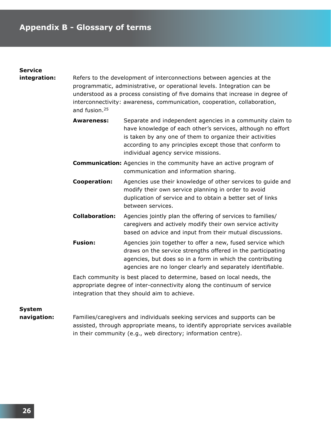## **Service**

**integration:** Refers to the development of interconnections between agencies at the programmatic, administrative, or operational levels. Integration can be understood as a process consisting of five domains that increase in degree of interconnectivity: awareness, communication, cooperation, collaboration, and fusion.25

- **Awareness:** Separate and independent agencies in a community claim to have knowledge of each other's services, although no effort is taken by any one of them to organize their activities according to any principles except those that conform to individual agency service missions.
- **Communication:** Agencies in the community have an active program of communication and information sharing.
- **Cooperation:** Agencies use their knowledge of other services to guide and modify their own service planning in order to avoid duplication of service and to obtain a better set of links between services.
- **Collaboration:** Agencies jointly plan the offering of services to families/ caregivers and actively modify their own service activity based on advice and input from their mutual discussions.
- **Fusion:** Agencies join together to offer a new, fused service which draws on the service strengths offered in the participating agencies, but does so in a form in which the contributing agencies are no longer clearly and separately identifiable.

 Each community is best placed to determine, based on local needs, the appropriate degree of inter-connectivity along the continuum of service integration that they should aim to achieve.

#### **System**

**navigation:** Families/caregivers and individuals seeking services and supports can be assisted, through appropriate means, to identify appropriate services available in their community (e.g., web directory; information centre).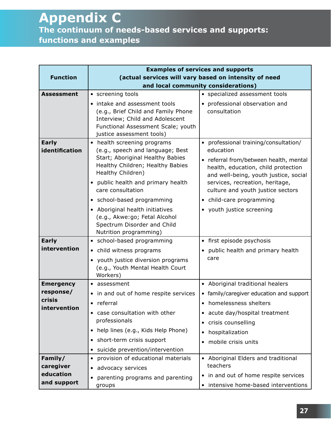|                            | <b>Examples of services and supports</b>                               |                                                                              |  |  |  |  |  |  |
|----------------------------|------------------------------------------------------------------------|------------------------------------------------------------------------------|--|--|--|--|--|--|
| <b>Function</b>            | (actual services will vary based on intensity of need                  |                                                                              |  |  |  |  |  |  |
|                            |                                                                        | and local community considerations)                                          |  |  |  |  |  |  |
| <b>Assessment</b>          | • screening tools                                                      | • specialized assessment tools                                               |  |  |  |  |  |  |
|                            | • intake and assessment tools                                          | • professional observation and<br>consultation                               |  |  |  |  |  |  |
|                            | (e.g., Brief Child and Family Phone<br>Interview; Child and Adolescent |                                                                              |  |  |  |  |  |  |
|                            | Functional Assessment Scale; youth                                     |                                                                              |  |  |  |  |  |  |
|                            | justice assessment tools)                                              |                                                                              |  |  |  |  |  |  |
| <b>Early</b>               | • health screening programs                                            | • professional training/consultation/                                        |  |  |  |  |  |  |
| identification             | (e.g., speech and language; Best<br>Start; Aboriginal Healthy Babies   | education                                                                    |  |  |  |  |  |  |
|                            | Healthy Children; Healthy Babies                                       | • referral from/between health, mental                                       |  |  |  |  |  |  |
|                            | Healthy Children)                                                      | health, education, child protection<br>and well-being, youth justice, social |  |  |  |  |  |  |
|                            | public health and primary health                                       | services, recreation, heritage,                                              |  |  |  |  |  |  |
|                            | care consultation                                                      | culture and youth justice sectors                                            |  |  |  |  |  |  |
|                            | • school-based programming                                             | • child-care programming                                                     |  |  |  |  |  |  |
|                            | • Aboriginal health initiatives                                        | • youth justice screening                                                    |  |  |  |  |  |  |
|                            | (e.g., Akwe:go; Fetal Alcohol<br>Spectrum Disorder and Child           |                                                                              |  |  |  |  |  |  |
|                            | Nutrition programming)                                                 |                                                                              |  |  |  |  |  |  |
| <b>Early</b>               | • school-based programming                                             | • first episode psychosis                                                    |  |  |  |  |  |  |
| intervention               | • child witness programs                                               | public health and primary health                                             |  |  |  |  |  |  |
|                            | youth justice diversion programs<br>$\bullet$                          | care                                                                         |  |  |  |  |  |  |
|                            | (e.g., Youth Mental Health Court                                       |                                                                              |  |  |  |  |  |  |
|                            | Workers)                                                               |                                                                              |  |  |  |  |  |  |
| <b>Emergency</b>           | • assessment                                                           | • Aboriginal traditional healers                                             |  |  |  |  |  |  |
| response/<br><b>crisis</b> | in and out of home respite services<br>$\bullet$                       | • family/caregiver education and support                                     |  |  |  |  |  |  |
| intervention               | referral<br>$\bullet$                                                  | • homelessness shelters                                                      |  |  |  |  |  |  |
|                            | case consultation with other                                           | • acute day/hospital treatment                                               |  |  |  |  |  |  |
|                            | professionals                                                          | • crisis counselling                                                         |  |  |  |  |  |  |
|                            | • help lines (e.g., Kids Help Phone)                                   | hospitalization                                                              |  |  |  |  |  |  |
|                            | short-term crisis support                                              | mobile crisis units                                                          |  |  |  |  |  |  |
|                            | suicide prevention/intervention                                        |                                                                              |  |  |  |  |  |  |
| Family/                    | provision of educational materials<br>$\bullet$                        | • Aboriginal Elders and traditional                                          |  |  |  |  |  |  |
| caregiver                  | advocacy services<br>$\bullet$                                         | teachers                                                                     |  |  |  |  |  |  |
| education<br>and support   | parenting programs and parenting<br>٠                                  | • in and out of home respite services                                        |  |  |  |  |  |  |
|                            | groups                                                                 | • intensive home-based interventions                                         |  |  |  |  |  |  |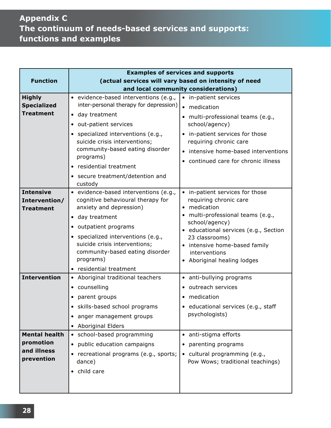# **Appendix C The continuum of needs-based services and supports: functions and examples**

|                                                                | <b>Examples of services and supports</b>                                                                                                                                                                                                                                                                              |                                                                                                                                                                                                                                                                          |  |  |  |  |  |  |
|----------------------------------------------------------------|-----------------------------------------------------------------------------------------------------------------------------------------------------------------------------------------------------------------------------------------------------------------------------------------------------------------------|--------------------------------------------------------------------------------------------------------------------------------------------------------------------------------------------------------------------------------------------------------------------------|--|--|--|--|--|--|
| <b>Function</b>                                                | (actual services will vary based on intensity of need                                                                                                                                                                                                                                                                 |                                                                                                                                                                                                                                                                          |  |  |  |  |  |  |
|                                                                |                                                                                                                                                                                                                                                                                                                       | and local community considerations)                                                                                                                                                                                                                                      |  |  |  |  |  |  |
| <b>Highly</b><br><b>Specialized</b><br><b>Treatment</b>        | · evidence-based interventions (e.g.,<br>inter-personal therapy for depression)<br>• day treatment<br>out-patient services<br>specialized interventions (e.g.,<br>suicide crisis interventions;<br>community-based eating disorder<br>programs)<br>residential treatment<br>secure treatment/detention and<br>custody | • in-patient services<br>• medication<br>multi-professional teams (e.g.,<br>school/agency)<br>• in-patient services for those<br>requiring chronic care<br>• intensive home-based interventions<br>• continued care for chronic illness                                  |  |  |  |  |  |  |
| <b>Intensive</b><br>Intervention/<br><b>Treatment</b>          | · evidence-based interventions (e.g.,<br>cognitive behavioural therapy for<br>anxiety and depression)<br>• day treatment<br>• outpatient programs<br>• specialized interventions (e.g.,<br>suicide crisis interventions;<br>community-based eating disorder<br>programs)<br>• residential treatment                   | • in-patient services for those<br>requiring chronic care<br>• medication<br>multi-professional teams (e.g.,<br>school/agency)<br>· educational services (e.g., Section<br>23 classrooms)<br>• intensive home-based family<br>interventions<br>Aboriginal healing lodges |  |  |  |  |  |  |
| <b>Intervention</b>                                            | • Aboriginal traditional teachers<br>counselling<br>$\bullet$<br>parent groups<br>• skills-based school programs<br>anger management groups<br>• Aboriginal Elders                                                                                                                                                    | • anti-bullying programs<br>• outreach services<br>medication<br>· educational services (e.g., staff<br>psychologists)                                                                                                                                                   |  |  |  |  |  |  |
| <b>Mental health</b><br>promotion<br>and illness<br>prevention | • school-based programming<br>public education campaigns<br>recreational programs (e.g., sports;<br>dance)<br>child care                                                                                                                                                                                              | • anti-stigma efforts<br>parenting programs<br>cultural programming (e.g.,<br>Pow Wows; traditional teachings)                                                                                                                                                           |  |  |  |  |  |  |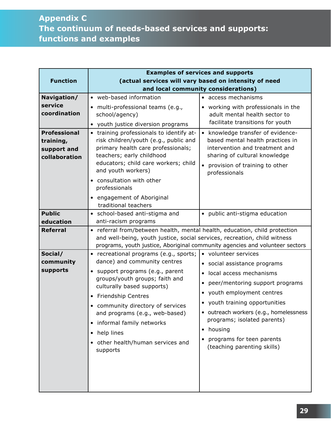## **Appendix C The continuum of needs-based services and supports: functions and examples**

|                     | <b>Examples of services and supports</b>                                     |                                                           |  |  |  |  |  |  |
|---------------------|------------------------------------------------------------------------------|-----------------------------------------------------------|--|--|--|--|--|--|
| <b>Function</b>     | (actual services will vary based on intensity of need                        |                                                           |  |  |  |  |  |  |
|                     |                                                                              | and local community considerations)                       |  |  |  |  |  |  |
| Navigation/         | • web-based information                                                      | • access mechanisms                                       |  |  |  |  |  |  |
| service             | · multi-professional teams (e.g.,                                            | • working with professionals in the                       |  |  |  |  |  |  |
| coordination        | school/agency)                                                               | adult mental health sector to                             |  |  |  |  |  |  |
|                     | • youth justice diversion programs                                           | facilitate transitions for youth                          |  |  |  |  |  |  |
| <b>Professional</b> | • training professionals to identify at-                                     | • knowledge transfer of evidence-                         |  |  |  |  |  |  |
| training,           | risk children/youth (e.g., public and                                        | based mental health practices in                          |  |  |  |  |  |  |
| support and         | primary health care professionals;                                           | intervention and treatment and                            |  |  |  |  |  |  |
| collaboration       | teachers; early childhood<br>educators; child care workers; child            | sharing of cultural knowledge                             |  |  |  |  |  |  |
|                     | and youth workers)                                                           | • provision of training to other                          |  |  |  |  |  |  |
|                     | consultation with other                                                      | professionals                                             |  |  |  |  |  |  |
|                     | professionals                                                                |                                                           |  |  |  |  |  |  |
|                     | • engagement of Aboriginal                                                   |                                                           |  |  |  |  |  |  |
|                     | traditional teachers                                                         |                                                           |  |  |  |  |  |  |
| <b>Public</b>       | • school-based anti-stigma and                                               | • public anti-stigma education                            |  |  |  |  |  |  |
| education           | anti-racism programs                                                         |                                                           |  |  |  |  |  |  |
| <b>Referral</b>     | • referral from/between health, mental health, education, child protection   |                                                           |  |  |  |  |  |  |
|                     | and well-being, youth justice, social services, recreation, child witness    |                                                           |  |  |  |  |  |  |
|                     | programs, youth justice, Aboriginal community agencies and volunteer sectors |                                                           |  |  |  |  |  |  |
| Social/             | • recreational programs (e.g., sports;                                       | • volunteer services                                      |  |  |  |  |  |  |
| community           | dance) and community centres                                                 | • social assistance programs<br>· local access mechanisms |  |  |  |  |  |  |
| supports            | support programs (e.g., parent<br>groups/youth groups; faith and             |                                                           |  |  |  |  |  |  |
|                     | culturally based supports)                                                   | peer/mentoring support programs<br>$\bullet$              |  |  |  |  |  |  |
|                     | • Friendship Centres                                                         | • youth employment centres                                |  |  |  |  |  |  |
|                     | • community directory of services                                            | • youth training opportunities                            |  |  |  |  |  |  |
|                     | and programs (e.g., web-based)                                               | • outreach workers (e.g., homelessness                    |  |  |  |  |  |  |
|                     | informal family networks<br>$\bullet$                                        | programs; isolated parents)                               |  |  |  |  |  |  |
|                     |                                                                              | • housing                                                 |  |  |  |  |  |  |
|                     | help lines<br>$\bullet$                                                      | • programs for teen parents                               |  |  |  |  |  |  |
|                     | other health/human services and<br>supports                                  | (teaching parenting skills)                               |  |  |  |  |  |  |
|                     |                                                                              |                                                           |  |  |  |  |  |  |
|                     |                                                                              |                                                           |  |  |  |  |  |  |
|                     |                                                                              |                                                           |  |  |  |  |  |  |
|                     |                                                                              |                                                           |  |  |  |  |  |  |
|                     |                                                                              |                                                           |  |  |  |  |  |  |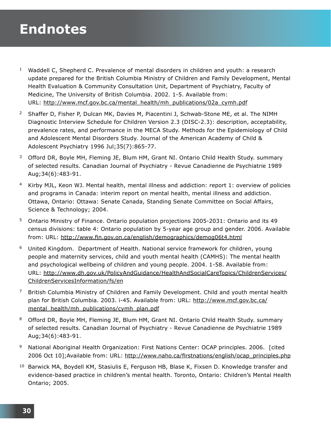# **Endnotes**

- <sup>1</sup> Waddell C, Shepherd C. Prevalence of mental disorders in children and youth: a research update prepared for the British Columbia Ministry of Children and Family Development, Mental Health Evaluation & Community Consultation Unit, Department of Psychiatry, Faculty of Medicine, The University of British Columbia. 2002. 1-5. Available from: URL: http://www.mcf.gov.bc.ca/mental\_health/mh\_publications/02a\_cymh.pdf
- <sup>2</sup> Shaffer D, Fisher P, Dulcan MK, Davies M, Piacentini J, Schwab-Stone ME, et al. The NIMH Diagnostic Interview Schedule for Children Version 2.3 (DISC-2.3): description, acceptability, prevalence rates, and performance in the MECA Study. Methods for the Epidemiology of Child and Adolescent Mental Disorders Study. Journal of the American Academy of Child & Adolescent Psychiatry 1996 Jul;35(7):865-77.
- <sup>3</sup> Offord DR, Boyle MH, Fleming JE, Blum HM, Grant NI. Ontario Child Health Study. summary of selected results. Canadian Journal of Psychiatry - Revue Canadienne de Psychiatrie 1989 Aug;34(6):483-91.
- <sup>4</sup> Kirby MJL, Keon WJ. Mental health, mental illness and addiction: report 1: overview of policies and programs in Canada: interim report on mental health, mental illness and addiction. Ottawa, Ontario: Ottawa: Senate Canada, Standing Senate Committee on Social Affairs, Science & Technology; 2004.
- <sup>5</sup> Ontario Ministry of Finance. Ontario population projections 2005-2031: Ontario and its 49 census divisions: table 4: Ontario population by 5-year age group and gender. 2006. Available from: URL: http://www.fin.gov.on.ca/english/demographics/demog06t4.html
- <sup>6</sup> United Kingdom. Department of Health. National service framework for children, young people and maternity services, child and youth mental health (CAMHS): The mental health and psychological wellbeing of children and young people. 2004. 1-58. Available from: URL: http://www.dh.gov.uk/PolicyAndGuidance/HealthAndSocialCareTopics/ChildrenServices/ ChildrenServicesInformation/fs/en
- $7$  British Columbia Ministry of Children and Family Development. Child and youth mental health plan for British Columbia. 2003. i-45. Available from: URL: http://www.mcf.gov.bc.ca/ mental\_health/mh\_publications/cymh\_plan.pdf
- <sup>8</sup> Offord DR, Boyle MH, Fleming JE, Blum HM, Grant NI. Ontario Child Health Study. summary of selected results. Canadian Journal of Psychiatry - Revue Canadienne de Psychiatrie 1989 Aug;34(6):483-91.
- 9 National Aboriginal Health Organization: First Nations Center: OCAP principles. 2006. [cited 2006 Oct 10];Available from: URL: http://www.naho.ca/firstnations/english/ocap\_principles.php
- <sup>10</sup> Barwick MA, Boydell KM, Stasiulis E, Ferguson HB, Blase K, Fixsen D. Knowledge transfer and evidence-based practice in children's mental health. Toronto, Ontario: Children's Mental Health Ontario; 2005.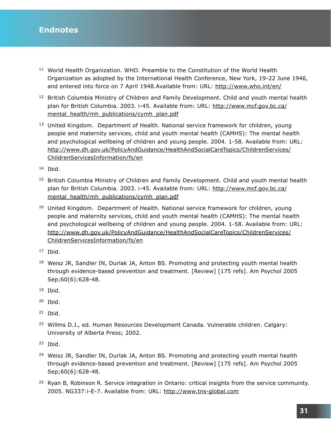- <sup>11</sup> World Health Organization. WHO. Preamble to the Constitution of the World Health Organization as adopted by the International Health Conference, New York, 19-22 June 1946, and entered into force on 7 April 1948.Available from: URL: http://www.who.int/en/
- <sup>12</sup> British Columbia Ministry of Children and Family Development. Child and youth mental health plan for British Columbia. 2003. i-45. Available from: URL: http://www.mcf.gov.bc.ca/ mental health/mh publications/cymh plan.pdf
- <sup>13</sup> United Kingdom. Department of Health. National service framework for children, young people and maternity services, child and youth mental health (CAMHS): The mental health and psychological wellbeing of children and young people. 2004. 1-58. Available from: URL: http://www.dh.gov.uk/PolicyAndGuidance/HealthAndSocialCareTopics/ChildrenServices/ ChildrenServicesInformation/fs/en

<sup>14</sup> Ibid.

- <sup>15</sup> British Columbia Ministry of Children and Family Development. Child and youth mental health plan for British Columbia. 2003. i-45. Available from: URL: http://www.mcf.gov.bc.ca/ mental\_health/mh\_publications/cymh\_plan.pdf
- <sup>16</sup> United Kingdom. Department of Health. National service framework for children, young people and maternity services, child and youth mental health (CAMHS): The mental health and psychological wellbeing of children and young people. 2004. 1-58. Available from: URL: http://www.dh.gov.uk/PolicyAndGuidance/HealthAndSocialCareTopics/ChildrenServices/ ChildrenServicesInformation/fs/en
- $17$  Ibid.
- <sup>18</sup> Weisz JR, Sandler IN, Durlak JA, Anton BS. Promoting and protecting youth mental health through evidence-based prevention and treatment. [Review] [175 refs]. Am Psychol 2005 Sep;60(6):628-48.
- $19$  Ibid.
- <sup>20</sup> Ibid.
- $21$  Ibid.
- <sup>22</sup> Willms D.J., ed. Human Resources Development Canada. Vulnerable children. Calgary: University of Alberta Press; 2002.
- <sup>23</sup> Ibid.
- <sup>24</sup> Weisz JR, Sandler IN, Durlak JA, Anton BS. Promoting and protecting youth mental health through evidence-based prevention and treatment. [Review] [175 refs]. Am Psychol 2005 Sep;60(6):628-48.
- <sup>25</sup> Ryan B, Robinson R. Service integration in Ontario: critical insights from the service community. 2005. NG337:i-E-7. Available from: URL: http://www.tns-global.com